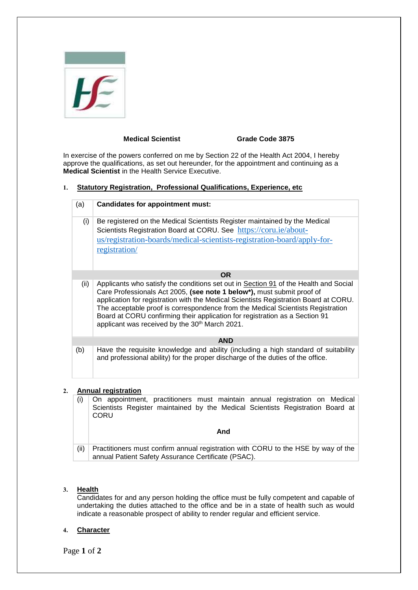|  |   |                   | ۱ |
|--|---|-------------------|---|
|  | ÷ | <b>STATISTICS</b> |   |
|  |   | ł<br>x.           |   |

the control of the control of the

## **Medical Scientist Grade Code 3875**

In exercise of the powers conferred on me by Section 22 of the Health Act 2004, I hereby approve the qualifications, as set out hereunder, for the appointment and continuing as a **Medical Scientist** in the Health Service Executive.

### **1. Statutory Registration, Professional Qualifications, Experience, etc**

| (a)  | <b>Candidates for appointment must:</b>                                                                                                                                                                                                                                                                                                                                                                                                                                                |
|------|----------------------------------------------------------------------------------------------------------------------------------------------------------------------------------------------------------------------------------------------------------------------------------------------------------------------------------------------------------------------------------------------------------------------------------------------------------------------------------------|
| (i)  | Be registered on the Medical Scientists Register maintained by the Medical<br>Scientists Registration Board at CORU. See https://coru.ie/about-<br>us/registration-boards/medical-scientists-registration-board/apply-for-<br>registration/                                                                                                                                                                                                                                            |
|      | OR.                                                                                                                                                                                                                                                                                                                                                                                                                                                                                    |
| (ii) | Applicants who satisfy the conditions set out in Section 91 of the Health and Social<br>Care Professionals Act 2005, (see note 1 below*), must submit proof of<br>application for registration with the Medical Scientists Registration Board at CORU.<br>The acceptable proof is correspondence from the Medical Scientists Registration<br>Board at CORU confirming their application for registration as a Section 91<br>applicant was received by the 30 <sup>th</sup> March 2021. |
|      | <b>AND</b>                                                                                                                                                                                                                                                                                                                                                                                                                                                                             |
| (b)  | Have the requisite knowledge and ability (including a high standard of suitability<br>and professional ability) for the proper discharge of the duties of the office.                                                                                                                                                                                                                                                                                                                  |

# **2. Annual registration**

|      | On appointment, practitioners must maintain annual registration on Medical<br>Scientists Register maintained by the Medical Scientists Registration Board at<br>CORU |
|------|----------------------------------------------------------------------------------------------------------------------------------------------------------------------|
|      | And                                                                                                                                                                  |
| (ii) | Practitioners must confirm annual registration with CORU to the HSE by way of the<br>annual Patient Safety Assurance Certificate (PSAC).                             |

## **3. Health**

Candidates for and any person holding the office must be fully competent and capable of undertaking the duties attached to the office and be in a state of health such as would indicate a reasonable prospect of ability to render regular and efficient service.

## **4. Character**

Page **1** of **2**